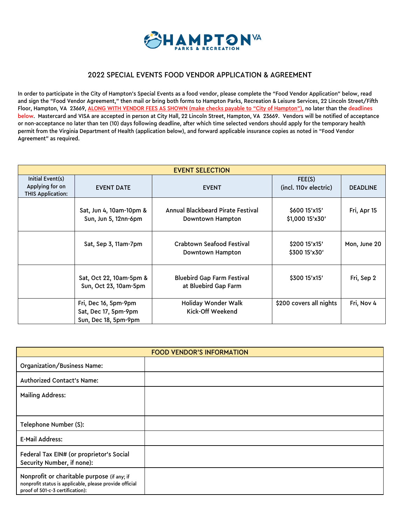

#### 2022 SPECIAL EVENTS FOOD VENDOR APPLICATION & AGREEMENT

In order to participate in the City of Hampton's Special Events as a food vendor, please complete the "Food Vendor Application" below, read and sign the "Food Vendor Agreement," then mail or bring both forms to Hampton Parks, Recreation & Leisure Services, 22 Lincoln Street/Fifth Floor, Hampton, VA 23669, ALONG WITH VENDOR FEES AS SHOWN (make checks payable to "City of Hampton"), no later than the deadlines below. Mastercard and VISA are accepted in person at City Hall, 22 Lincoln Street, Hampton, VA 23669. Vendors will be notified of acceptance or non-acceptance no later than ten (10) days following deadline, after which time selected vendors should apply for the temporary health permit from the Virginia Department of Health (application below), and forward applicable insurance copies as noted in "Food Vendor Agreement" as required.

| <b>EVENT SELECTION</b>                                   |                                                                      |                                                           |                                  |                 |
|----------------------------------------------------------|----------------------------------------------------------------------|-----------------------------------------------------------|----------------------------------|-----------------|
| Initial Event(s)<br>Applying for on<br>THIS Application: | <b>EVENT DATE</b>                                                    | <b>EVENT</b>                                              | FEE(S)<br>(incl. 110 v electric) | <b>DEADLINE</b> |
|                                                          | Sat, Jun 4, 10am-10pm &<br>Sun, Jun 5, 12nn-6pm                      | Annual Blackbeard Pirate Festival<br>Downtown Hampton     | \$60015'x15'<br>\$1,000 15'x30'  | Fri, Apr 15     |
|                                                          | Sat, Sep 3, 11am-7pm                                                 | <b>Crabtown Seafood Festival</b><br>Downtown Hampton      | \$200 15'x15'<br>\$300 15'x30'   | Mon, June 20    |
|                                                          | Sat, Oct 22, 10am-5pm &<br>Sun, Oct 23, 10am-5pm                     | <b>Bluebird Gap Farm Festival</b><br>at Bluebird Gap Farm | \$300 15'x15'                    | Fri, Sep 2      |
|                                                          | Fri, Dec 16, 5pm-9pm<br>Sat, Dec 17, 5pm-9pm<br>Sun, Dec 18, 5pm-9pm | Holiday Wonder Walk<br>Kick-Off Weekend                   | \$200 covers all nights          | Fri, Nov 4      |

| <b>FOOD VENDOR'S INFORMATION</b>                                                                                                           |  |  |
|--------------------------------------------------------------------------------------------------------------------------------------------|--|--|
| <b>Organization/Business Name:</b>                                                                                                         |  |  |
| <b>Authorized Contact's Name:</b>                                                                                                          |  |  |
| <b>Mailing Address:</b>                                                                                                                    |  |  |
|                                                                                                                                            |  |  |
| Telephone Number (S):                                                                                                                      |  |  |
| <b>E-Mail Address:</b>                                                                                                                     |  |  |
| Federal Tax EIN# (or proprietor's Social<br>Security Number, if none):                                                                     |  |  |
| Nonprofit or charitable purpose (if any; if<br>nonprofit status is applicable, please provide official<br>proof of 501-c-3 certification): |  |  |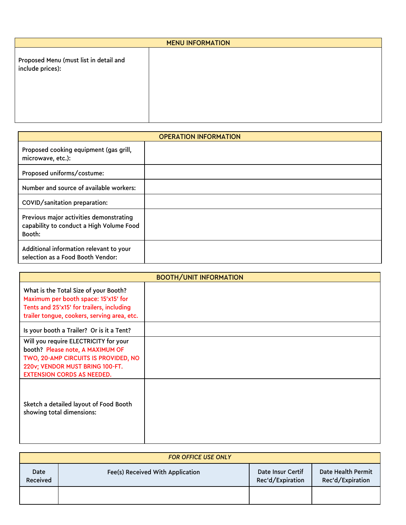| <b>MENU INFORMATION</b>                                    |  |  |
|------------------------------------------------------------|--|--|
| Proposed Menu (must list in detail and<br>include prices): |  |  |
|                                                            |  |  |

| <b>OPERATION INFORMATION</b>                                                                  |  |  |
|-----------------------------------------------------------------------------------------------|--|--|
| Proposed cooking equipment (gas grill,<br>microwave, etc.):                                   |  |  |
| Proposed uniforms/costume:                                                                    |  |  |
| Number and source of available workers:                                                       |  |  |
| COVID/sanitation preparation:                                                                 |  |  |
| Previous major activities demonstrating<br>capability to conduct a High Volume Food<br>Booth: |  |  |
| Additional information relevant to your<br>selection as a Food Booth Vendor:                  |  |  |

| <b>BOOTH/UNIT INFORMATION</b>                                                                                                                                                             |  |  |
|-------------------------------------------------------------------------------------------------------------------------------------------------------------------------------------------|--|--|
| What is the Total Size of your Booth?<br>Maximum per booth space: 15'x15' for<br>Tents and 25'x15' for trailers, including<br>trailer tongue, cookers, serving area, etc.                 |  |  |
| Is your booth a Trailer? Or is it a Tent?                                                                                                                                                 |  |  |
| Will you require ELECTRICITY for your<br>booth? Please note, A MAXIMUM OF<br>TWO, 20-AMP CIRCUITS IS PROVIDED, NO<br>220v; VENDOR MUST BRING 100-FT.<br><b>EXTENSION CORDS AS NEEDED.</b> |  |  |
| Sketch a detailed layout of Food Booth<br>showing total dimensions:                                                                                                                       |  |  |

|                  | <b>FOR OFFICE USE ONLY</b>       |                                       |                                        |
|------------------|----------------------------------|---------------------------------------|----------------------------------------|
| Date<br>Received | Fee(s) Received With Application | Date Insur Certif<br>Rec'd/Expiration | Date Health Permit<br>Rec'd/Expiration |
|                  |                                  |                                       |                                        |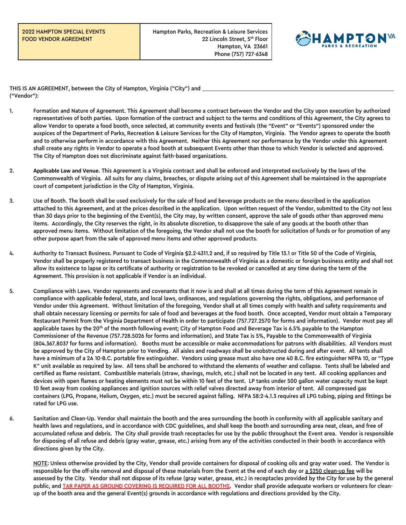Hampton Parks, Recreation & Leisure Services 22 Lincoln Street, 5<sup>th</sup> Floor Hampton, VA 23661 Phone (757) 727-6348



THIS IS AN AGREEMENT, between the City of Hampton, Virginia ("City") and ("Vendor"):

- 1. Formation and Nature of Agreement. This Agreement shall become a contract between the Vendor and the City upon execution by authorized representatives of both parties. Upon formation of the contract and subject to the terms and conditions of this Agreement, the City agrees to allow Vendor to operate a food booth, once selected, at community events and festivals (the "Event" or "Events") sponsored under the auspices of the Department of Parks, Recreation & Leisure Services for the City of Hampton, Virginia. The Vendor agrees to operate the booth and to otherwise perform in accordance with this Agreement. Neither this Agreement nor performance by the Vendor under this Agreement shall create any rights in Vendor to operate a food booth at subsequent Events other than those to which Vendor is selected and approved. The City of Hampton does not discriminate against faith-based organizations.
- 2. **Applicable Law and Venue.** This Agreement is a Virginia contract and shall be enforced and interpreted exclusively by the laws of the Commonwealth of Virginia. All suits for any claims, breaches, or dispute arising out of this Agreement shall be maintained in the appropriate court of competent jurisdiction in the City of Hampton, Virginia.
- 3. Use of Booth. The booth shall be used exclusively for the sale of food and beverage products on the menu described in the application attached to this Agreement, and at the prices described in the application. Upon written request of the Vendor, submitted to the City not less than 30 days prior to the beginning of the Event(s), the City may, by written consent, approve the sale of goods other than approved menu items. Accordingly, the City reserves the right, in its absolute discretion, to disapprove the sale of any goods at the booth other than approved menu items. Without limitation of the foregoing, the Vendor shall not use the booth for solicitation of funds or for promotion of any other purpose apart from the sale of approved menu items and other approved products.
- 4. Authority to Transact Business. Pursuant to Code of Virginia §2.2-4311.2 and, if so required by Title 13.1 or Title 50 of the Code of Virginia, Vendor shall be properly registered to transact business in the Commonwealth of Virginia as a domestic or foreign business entity and shall not allow its existence to lapse or its certificate of authority or registration to be revoked or cancelled at any time during the term of the Agreement. This provision is not applicable if Vendor is an individual.
- 5. Compliance with Laws. Vendor represents and covenants that it now is and shall at all times during the term of this Agreement remain in compliance with applicable federal, state, and local laws, ordinances, and regulations governing the rights, obligations, and performance of Vendor under this Agreement. Without limitation of the foregoing, Vendor shall at all times comply with health and safety requirements and shall obtain necessary licensing or permits for sale of food and beverages at the food booth. Once accepted, Vendor must obtain a Temporary Restaurant Permit from the Virginia Department of Health in order to participate (757.727.2570 for forms and information). Vendor must pay all applicable taxes by the  $20<sup>th</sup>$  of the month following event; City of Hampton Food and Beverage Tax is 6.5% payable to the Hampton Commissioner of the Revenue (757.728.5026 for forms and information), and State Tax is 5%, Payable to the Commonwealth of Virginia (804.367.8037 for forms and information). Booths must be accessible or make accommodations for patrons with disabilities. All Vendors must be approved by the City of Hampton prior to Vending. All aisles and roadways shall be unobstructed during and after event. All tents shall have a minimum of a 2A 10-B.C. portable fire extinguisher. Vendors using grease must also have one 40 B.C. fire extinguisher NFPA 10, or "Type K" unit available as required by law. All tens shall be anchored to withstand the elements of weather and collapse. Tents shall be labeled and certified as flame resistant. Combustible materials (straw, shavings, mulch, etc.) shall not be located in any tent. All cooking appliances and devices with open flames or heating elements must not be within 10 feet of the tent. LP tanks under 500 gallon water capacity must be kept 10 feet away from cooking appliances and ignition sources with relief valves directed away from interior of tent. All compressed gas containers (LPG, Propane, Helium, Oxygen, etc.) must be secured against falling. NFPA 58:2-4.1.3 requires all LPG tubing, piping and fittings be rated for LPG use.
- 6. Sanitation and Clean-Up. Vendor shall maintain the booth and the area surrounding the booth in conformity with all applicable sanitary and health laws and regulations, and in accordance with CDC guidelines, and shall keep the booth and surrounding area neat, clean, and free of accumulated refuse and debris. The City shall provide trash receptacles for use by the public throughout the Event area. Vendor is responsible for disposing of all refuse and debris (gray water, grease, etc.) arising from any of the activities conducted in their booth in accordance with directions given by the City.

NOTE: Unless otherwise provided by the City, Vendor shall provide containers for disposal of cooking oils and gray water used. The Vendor is responsible for the off-site removal and disposal of these materials from the Event at the end of each day or a \$250 clean-up fee will be assessed by the City. Vendor shall not dispose of its refuse (gray water, grease, etc.) in receptacles provided by the City for use by the general public, and TAR PAPER AS GROUND COVERING IS REQUIRED FOR ALL BOOTHS. Vendor shall provide adequate workers or volunteers for cleanup of the booth area and the general Event(s) grounds in accordance with regulations and directions provided by the City.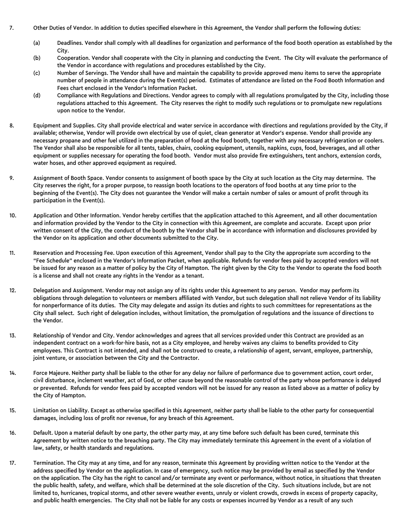- 7. Other Duties of Vendor. In addition to duties specified elsewhere in this Agreement, the Vendor shall perform the following duties:
	- (a) Deadlines. Vendor shall comply with all deadlines for organization and performance of the food booth operation as established by the City.
	- (b) Cooperation. Vendor shall cooperate with the City in planning and conducting the Event. The City will evaluate the performance of the Vendor in accordance with regulations and procedures established by the City.
	- (c) Number of Servings. The Vendor shall have and maintain the capability to provide approved menu items to serve the appropriate number of people in attendance during the Event(s) period. Estimates of attendance are listed on the Food Booth Information and Fees chart enclosed in the Vendor's Information Packet.
	- (d) Compliance with Regulations and Directions. Vendor agrees to comply with all regulations promulgated by the City, including those regulations attached to this Agreement. The City reserves the right to modify such regulations or to promulgate new regulations upon notice to the Vendor.
- 8. Equipment and Supplies. City shall provide electrical and water service in accordance with directions and regulations provided by the City, if available; otherwise, Vendor will provide own electrical by use of quiet, clean generator at Vendor's expense. Vendor shall provide any necessary propane and other fuel utilized in the preparation of food at the food booth, together with any necessary refrigeration or coolers. The Vendor shall also be responsible for all tents, tables, chairs, cooking equipment, utensils, napkins, cups, food, beverages, and all other equipment or supplies necessary for operating the food booth. Vendor must also provide fire extinguishers, tent anchors, extension cords, water hoses, and other approved equipment as required.
- 9. Assignment of Booth Space. Vendor consents to assignment of booth space by the City at such location as the City may determine. The City reserves the right, for a proper purpose, to reassign booth locations to the operators of food booths at any time prior to the beginning of the Event(s). The City does not guarantee the Vendor will make a certain number of sales or amount of profit through its participation in the Event(s).
- 10. Application and Other Information. Vendor hereby certifies that the application attached to this Agreement, and all other documentation and information provided by the Vendor to the City in connection with this Agreement, are complete and accurate. Except upon prior written consent of the City, the conduct of the booth by the Vendor shall be in accordance with information and disclosures provided by the Vendor on its application and other documents submitted to the City.
- 11. Reservation and Processing Fee. Upon execution of this Agreement, Vendor shall pay to the City the appropriate sum according to the "Fee Schedule" enclosed in the Vendor's Information Packet, when applicable. Refunds for vendor fees paid by accepted vendors will not be issued for any reason as a matter of policy by the City of Hampton. The right given by the City to the Vendor to operate the food booth is a license and shall not create any rights in the Vendor as a tenant.
- 12. Delegation and Assignment. Vendor may not assign any of its rights under this Agreement to any person. Vendor may perform its obligations through delegation to volunteers or members affiliated with Vendor, but such delegation shall not relieve Vendor of its liability for nonperformance of its duties. The City may delegate and assign its duties and rights to such committees for representations as the City shall select. Such right of delegation includes, without limitation, the promulgation of regulations and the issuance of directions to the Vendor.
- 13. Relationship of Vendor and City. Vendor acknowledges and agrees that all services provided under this Contract are provided as an independent contract on a work-for-hire basis, not as a City employee, and hereby waives any claims to benefits provided to City employees. This Contract is not intended, and shall not be construed to create, a relationship of agent, servant, employee, partnership, joint venture, or association between the City and the Contractor.
- 14. Force Majeure. Neither party shall be liable to the other for any delay nor failure of performance due to government action, court order, civil disturbance, inclement weather, act of God, or other cause beyond the reasonable control of the party whose performance is delayed or prevented. Refunds for vendor fees paid by accepted vendors will not be issued for any reason as listed above as a matter of policy by the City of Hampton.
- 15. Limitation on Liability. Except as otherwise specified in this Agreement, neither party shall be liable to the other party for consequential damages, including loss of profit nor revenue, for any breach of this Agreement.
- 16. Default. Upon a material default by one party, the other party may, at any time before such default has been cured, terminate this Agreement by written notice to the breaching party. The City may immediately terminate this Agreement in the event of a violation of law, safety, or health standards and regulations.
- 17. Termination. The City may at any time, and for any reason, terminate this Agreement by providing written notice to the Vendor at the address specified by Vendor on the application. In case of emergency, such notice may be provided by email as specified by the Vendor on the application. The City has the right to cancel and/or terminate any event or performance, without notice, in situations that threaten the public health, safety, and welfare, which shall be determined at the sole discretion of the City. Such situations include, but are not limited to, hurricanes, tropical storms, and other severe weather events, unruly or violent crowds, crowds in excess of property capacity, and public health emergencies. The City shall not be liable for any costs or expenses incurred by Vendor as a result of any such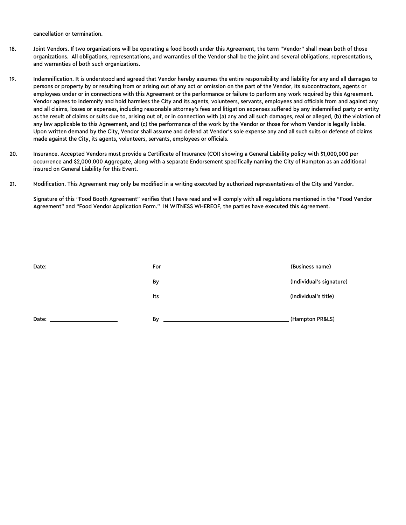cancellation or termination.

- 18. Joint Vendors. If two organizations will be operating a food booth under this Agreement, the term "Vendor" shall mean both of those organizations. All obligations, representations, and warranties of the Vendor shall be the joint and several obligations, representations, and warranties of both such organizations.
- 19. Indemnification. It is understood and agreed that Vendor hereby assumes the entire responsibility and liability for any and all damages to persons or property by or resulting from or arising out of any act or omission on the part of the Vendor, its subcontractors, agents or employees under or in connections with this Agreement or the performance or failure to perform any work required by this Agreement. Vendor agrees to indemnify and hold harmless the City and its agents, volunteers, servants, employees and officials from and against any and all claims, losses or expenses, including reasonable attorney's fees and litigation expenses suffered by any indemnified party or entity as the result of claims or suits due to, arising out of, or in connection with (a) any and all such damages, real or alleged, (b) the violation of any law applicable to this Agreement, and (c) the performance of the work by the Vendor or those for whom Vendor is legally liable. Upon written demand by the City, Vendor shall assume and defend at Vendor's sole expense any and all such suits or defense of claims made against the City, its agents, volunteers, servants, employees or officials.
- 20. Insurance. Accepted Vendors must provide a Certificate of Insurance (COI) showing a General Liability policy with \$1,000,000 per occurrence and \$2,000,000 Aggregate, along with a separate Endorsement specifically naming the City of Hampton as an additional insured on General Liability for this Event.
- 21. Modification. This Agreement may only be modified in a writing executed by authorized representatives of the City and Vendor.

Signature of this "Food Booth Agreement" verifies that I have read and will comply with all regulations mentioned in the "Food Vendor Agreement" and "Food Vendor Application Form." IN WITNESS WHEREOF, the parties have executed this Agreement.

| Date:<br><u> 1989 - John Stein, Amerikaansk politiker (</u>                                                                                                                                                                    |                                                                                                                      | (Business name)      |
|--------------------------------------------------------------------------------------------------------------------------------------------------------------------------------------------------------------------------------|----------------------------------------------------------------------------------------------------------------------|----------------------|
|                                                                                                                                                                                                                                |                                                                                                                      |                      |
|                                                                                                                                                                                                                                | <u>Its</u> and the second second second second second second second second second second second second second second | (Individual's title) |
| Date: the contract of the contract of the contract of the contract of the contract of the contract of the contract of the contract of the contract of the contract of the contract of the contract of the contract of the cont | By                                                                                                                   | (Hampton PR&LS)      |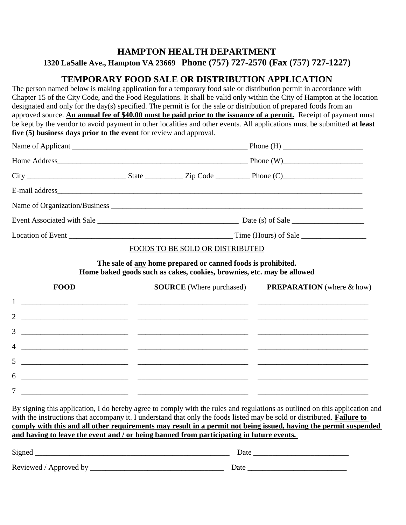## **HAMPTON HEALTH DEPARTMENT**

**1320 LaSalle Ave., Hampton VA 23669 Phone (757) 727-2570 (Fax (757) 727-1227)**

# **TEMPORARY FOOD SALE OR DISTRIBUTION APPLICATION**

The person named below is making application for a temporary food sale or distribution permit in accordance with Chapter 15 of the City Code, and the Food Regulations. It shall be valid only within the City of Hampton at the location designated and only for the day(s) specified. The permit is for the sale or distribution of prepared foods from an approved source. **An annual fee of \$40.00 must be paid prior to the issuance of a permit.** Receipt of payment must be kept by the vendor to avoid payment in other localities and other events. All applications must be submitted **at least five (5) business days prior to the event** for review and approval.

|             |  | FOODS TO BE SOLD OR DISTRIBUTED                                                                                                               |                                                                                                  |  |
|-------------|--|-----------------------------------------------------------------------------------------------------------------------------------------------|--------------------------------------------------------------------------------------------------|--|
|             |  | The sale of <u>any</u> home prepared or canned foods is prohibited.<br>Home baked goods such as cakes, cookies, brownies, etc. may be allowed |                                                                                                  |  |
| <b>FOOD</b> |  |                                                                                                                                               | <b>SOURCE</b> (Where purchased) PREPARATION (where & how)                                        |  |
|             |  |                                                                                                                                               |                                                                                                  |  |
|             |  |                                                                                                                                               | <u> 1989 - Andrea Andrew Maria (h. 1989).</u><br>1900 - Johann Britt, fransk kongresu (h. 1980). |  |
| 3           |  |                                                                                                                                               |                                                                                                  |  |

7 \_\_\_\_\_\_\_\_\_\_\_\_\_\_\_\_\_\_\_\_\_\_\_\_\_\_\_\_ \_\_\_\_\_\_\_\_\_\_\_\_\_\_\_\_\_\_\_\_\_\_\_\_\_\_\_\_\_ \_\_\_\_\_\_\_\_\_\_\_\_\_\_\_\_\_\_\_\_\_\_\_\_\_\_\_\_\_ By signing this application, I do hereby agree to comply with the rules and regulations as outlined on this application and with the instructions that accompany it. I understand that only the foods listed may be sold or distributed. **Failure to comply with this and all other requirements may result in a permit not being issued, having the permit suspended and having to leave the event and / or being banned from participating in future events.**

6 \_\_\_\_\_\_\_\_\_\_\_\_\_\_\_\_\_\_\_\_\_\_\_\_\_\_\_\_ \_\_\_\_\_\_\_\_\_\_\_\_\_\_\_\_\_\_\_\_\_\_\_\_\_\_\_\_\_ \_\_\_\_\_\_\_\_\_\_\_\_\_\_\_\_\_\_\_\_\_\_\_\_\_\_\_\_\_

| Signed                 | Date |
|------------------------|------|
| Reviewed / Approved by | Date |

4 \_\_\_\_\_\_\_\_\_\_\_\_\_\_\_\_\_\_\_\_\_\_\_\_\_\_\_\_ \_\_\_\_\_\_\_\_\_\_\_\_\_\_\_\_\_\_\_\_\_\_\_\_\_\_\_\_\_ \_\_\_\_\_\_\_\_\_\_\_\_\_\_\_\_\_\_\_\_\_\_\_\_\_\_\_\_\_

5 \_\_\_\_\_\_\_\_\_\_\_\_\_\_\_\_\_\_\_\_\_\_\_\_\_\_\_\_ \_\_\_\_\_\_\_\_\_\_\_\_\_\_\_\_\_\_\_\_\_\_\_\_\_\_\_\_\_ \_\_\_\_\_\_\_\_\_\_\_\_\_\_\_\_\_\_\_\_\_\_\_\_\_\_\_\_\_